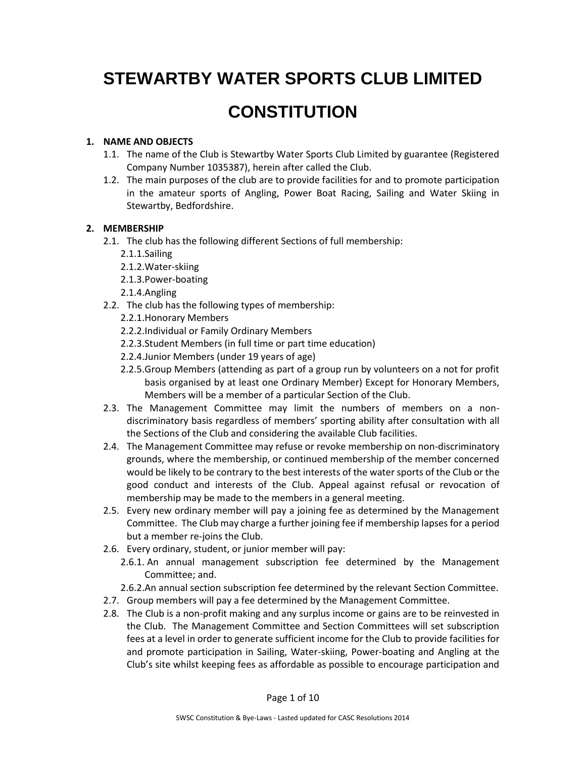# **STEWARTBY WATER SPORTS CLUB LIMITED CONSTITUTION**

# **1. NAME AND OBJECTS**

- 1.1. The name of the Club is Stewartby Water Sports Club Limited by guarantee (Registered Company Number 1035387), herein after called the Club.
- 1.2. The main purposes of the club are to provide facilities for and to promote participation in the amateur sports of Angling, Power Boat Racing, Sailing and Water Skiing in Stewartby, Bedfordshire.

# **2. MEMBERSHIP**

- 2.1. The club has the following different Sections of full membership:
	- 2.1.1.Sailing
	- 2.1.2.Water-skiing
	- 2.1.3.Power-boating
	- 2.1.4.Angling
- 2.2. The club has the following types of membership:
	- 2.2.1.Honorary Members
	- 2.2.2.Individual or Family Ordinary Members
	- 2.2.3.Student Members (in full time or part time education)
	- 2.2.4.Junior Members (under 19 years of age)
	- 2.2.5.Group Members (attending as part of a group run by volunteers on a not for profit basis organised by at least one Ordinary Member) Except for Honorary Members, Members will be a member of a particular Section of the Club.
- 2.3. The Management Committee may limit the numbers of members on a nondiscriminatory basis regardless of members' sporting ability after consultation with all the Sections of the Club and considering the available Club facilities.
- 2.4. The Management Committee may refuse or revoke membership on non-discriminatory grounds, where the membership, or continued membership of the member concerned would be likely to be contrary to the best interests of the water sports of the Club or the good conduct and interests of the Club. Appeal against refusal or revocation of membership may be made to the members in a general meeting.
- 2.5. Every new ordinary member will pay a joining fee as determined by the Management Committee. The Club may charge a further joining fee if membership lapses for a period but a member re-joins the Club.
- 2.6. Every ordinary, student, or junior member will pay:
	- 2.6.1. An annual management subscription fee determined by the Management Committee; and.
	- 2.6.2.An annual section subscription fee determined by the relevant Section Committee.
- 2.7. Group members will pay a fee determined by the Management Committee.
- 2.8. The Club is a non-profit making and any surplus income or gains are to be reinvested in the Club. The Management Committee and Section Committees will set subscription fees at a level in order to generate sufficient income for the Club to provide facilities for and promote participation in Sailing, Water-skiing, Power-boating and Angling at the Club's site whilst keeping fees as affordable as possible to encourage participation and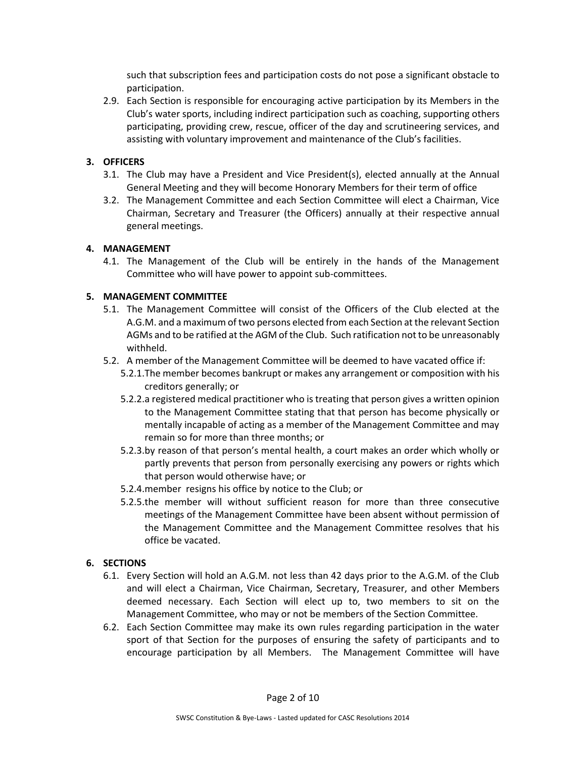such that subscription fees and participation costs do not pose a significant obstacle to participation.

2.9. Each Section is responsible for encouraging active participation by its Members in the Club's water sports, including indirect participation such as coaching, supporting others participating, providing crew, rescue, officer of the day and scrutineering services, and assisting with voluntary improvement and maintenance of the Club's facilities.

# **3. OFFICERS**

- 3.1. The Club may have a President and Vice President(s), elected annually at the Annual General Meeting and they will become Honorary Members for their term of office
- 3.2. The Management Committee and each Section Committee will elect a Chairman, Vice Chairman, Secretary and Treasurer (the Officers) annually at their respective annual general meetings.

## **4. MANAGEMENT**

4.1. The Management of the Club will be entirely in the hands of the Management Committee who will have power to appoint sub-committees.

## **5. MANAGEMENT COMMITTEE**

- 5.1. The Management Committee will consist of the Officers of the Club elected at the A.G.M. and a maximum of two persons elected from each Section at the relevant Section AGMs and to be ratified at the AGM of the Club. Such ratification not to be unreasonably withheld.
- 5.2. A member of the Management Committee will be deemed to have vacated office if:
	- 5.2.1.The member becomes bankrupt or makes any arrangement or composition with his creditors generally; or
	- 5.2.2.a registered medical practitioner who is treating that person gives a written opinion to the Management Committee stating that that person has become physically or mentally incapable of acting as a member of the Management Committee and may remain so for more than three months; or
	- 5.2.3.by reason of that person's mental health, a court makes an order which wholly or partly prevents that person from personally exercising any powers or rights which that person would otherwise have; or
	- 5.2.4.member resigns his office by notice to the Club; or
	- 5.2.5.the member will without sufficient reason for more than three consecutive meetings of the Management Committee have been absent without permission of the Management Committee and the Management Committee resolves that his office be vacated.

## **6. SECTIONS**

- 6.1. Every Section will hold an A.G.M. not less than 42 days prior to the A.G.M. of the Club and will elect a Chairman, Vice Chairman, Secretary, Treasurer, and other Members deemed necessary. Each Section will elect up to, two members to sit on the Management Committee, who may or not be members of the Section Committee.
- 6.2. Each Section Committee may make its own rules regarding participation in the water sport of that Section for the purposes of ensuring the safety of participants and to encourage participation by all Members. The Management Committee will have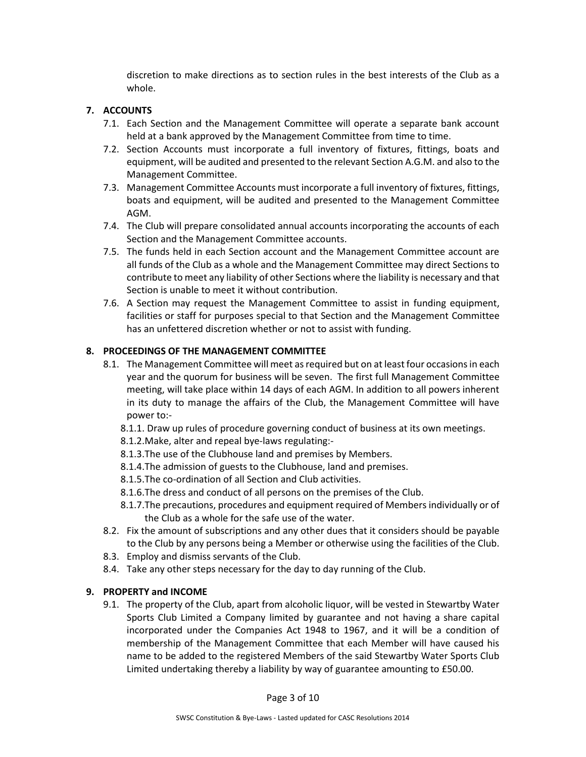discretion to make directions as to section rules in the best interests of the Club as a whole.

# **7. ACCOUNTS**

- 7.1. Each Section and the Management Committee will operate a separate bank account held at a bank approved by the Management Committee from time to time.
- 7.2. Section Accounts must incorporate a full inventory of fixtures, fittings, boats and equipment, will be audited and presented to the relevant Section A.G.M. and also to the Management Committee.
- 7.3. Management Committee Accounts must incorporate a full inventory of fixtures, fittings, boats and equipment, will be audited and presented to the Management Committee AGM.
- 7.4. The Club will prepare consolidated annual accounts incorporating the accounts of each Section and the Management Committee accounts.
- 7.5. The funds held in each Section account and the Management Committee account are all funds of the Club as a whole and the Management Committee may direct Sections to contribute to meet any liability of other Sections where the liability is necessary and that Section is unable to meet it without contribution.
- 7.6. A Section may request the Management Committee to assist in funding equipment, facilities or staff for purposes special to that Section and the Management Committee has an unfettered discretion whether or not to assist with funding.

# **8. PROCEEDINGS OF THE MANAGEMENT COMMITTEE**

- 8.1. The Management Committee will meet as required but on at least four occasions in each year and the quorum for business will be seven. The first full Management Committee meeting, will take place within 14 days of each AGM. In addition to all powers inherent in its duty to manage the affairs of the Club, the Management Committee will have power to:-
	- 8.1.1. Draw up rules of procedure governing conduct of business at its own meetings.
	- 8.1.2.Make, alter and repeal bye-laws regulating:-
	- 8.1.3.The use of the Clubhouse land and premises by Members.
	- 8.1.4.The admission of guests to the Clubhouse, land and premises.
	- 8.1.5.The co-ordination of all Section and Club activities.
	- 8.1.6.The dress and conduct of all persons on the premises of the Club.
	- 8.1.7.The precautions, procedures and equipment required of Members individually or of the Club as a whole for the safe use of the water.
- 8.2. Fix the amount of subscriptions and any other dues that it considers should be payable to the Club by any persons being a Member or otherwise using the facilities of the Club.
- 8.3. Employ and dismiss servants of the Club.
- 8.4. Take any other steps necessary for the day to day running of the Club.

## **9. PROPERTY and INCOME**

9.1. The property of the Club, apart from alcoholic liquor, will be vested in Stewartby Water Sports Club Limited a Company limited by guarantee and not having a share capital incorporated under the Companies Act 1948 to 1967, and it will be a condition of membership of the Management Committee that each Member will have caused his name to be added to the registered Members of the said Stewartby Water Sports Club Limited undertaking thereby a liability by way of guarantee amounting to £50.00.

Page 3 of 10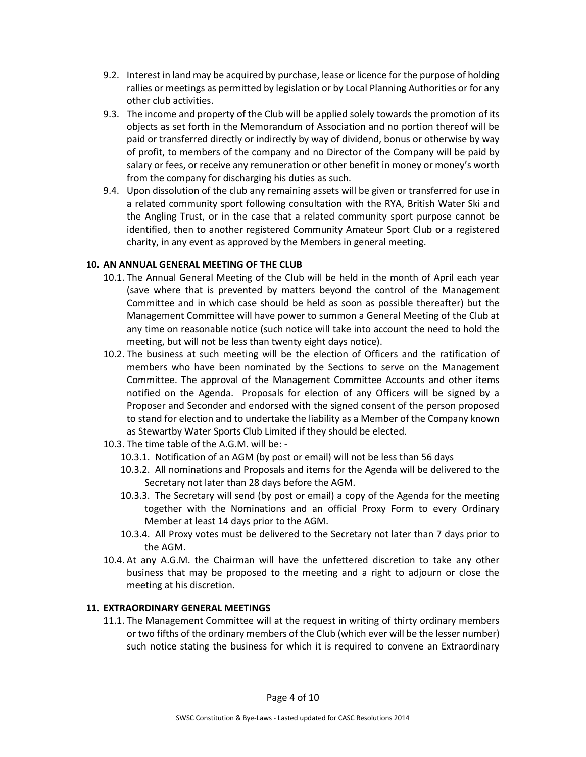- 9.2. Interest in land may be acquired by purchase, lease or licence for the purpose of holding rallies or meetings as permitted by legislation or by Local Planning Authorities or for any other club activities.
- 9.3. The income and property of the Club will be applied solely towards the promotion of its objects as set forth in the Memorandum of Association and no portion thereof will be paid or transferred directly or indirectly by way of dividend, bonus or otherwise by way of profit, to members of the company and no Director of the Company will be paid by salary or fees, or receive any remuneration or other benefit in money or money's worth from the company for discharging his duties as such.
- 9.4. Upon dissolution of the club any remaining assets will be given or transferred for use in a related community sport following consultation with the RYA, British Water Ski and the Angling Trust, or in the case that a related community sport purpose cannot be identified, then to another registered Community Amateur Sport Club or a registered charity, in any event as approved by the Members in general meeting.

## **10. AN ANNUAL GENERAL MEETING OF THE CLUB**

- 10.1. The Annual General Meeting of the Club will be held in the month of April each year (save where that is prevented by matters beyond the control of the Management Committee and in which case should be held as soon as possible thereafter) but the Management Committee will have power to summon a General Meeting of the Club at any time on reasonable notice (such notice will take into account the need to hold the meeting, but will not be less than twenty eight days notice).
- 10.2. The business at such meeting will be the election of Officers and the ratification of members who have been nominated by the Sections to serve on the Management Committee. The approval of the Management Committee Accounts and other items notified on the Agenda. Proposals for election of any Officers will be signed by a Proposer and Seconder and endorsed with the signed consent of the person proposed to stand for election and to undertake the liability as a Member of the Company known as Stewartby Water Sports Club Limited if they should be elected.
- 10.3. The time table of the A.G.M. will be:
	- 10.3.1. Notification of an AGM (by post or email) will not be less than 56 days
	- 10.3.2. All nominations and Proposals and items for the Agenda will be delivered to the Secretary not later than 28 days before the AGM.
	- 10.3.3. The Secretary will send (by post or email) a copy of the Agenda for the meeting together with the Nominations and an official Proxy Form to every Ordinary Member at least 14 days prior to the AGM.
	- 10.3.4. All Proxy votes must be delivered to the Secretary not later than 7 days prior to the AGM.
- 10.4. At any A.G.M. the Chairman will have the unfettered discretion to take any other business that may be proposed to the meeting and a right to adjourn or close the meeting at his discretion.

## **11. EXTRAORDINARY GENERAL MEETINGS**

11.1. The Management Committee will at the request in writing of thirty ordinary members or two fifths of the ordinary members of the Club (which ever will be the lesser number) such notice stating the business for which it is required to convene an Extraordinary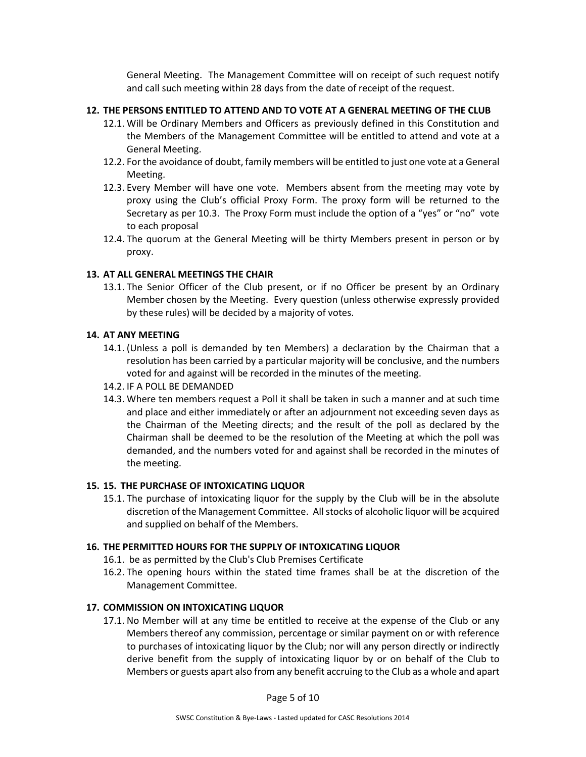General Meeting. The Management Committee will on receipt of such request notify and call such meeting within 28 days from the date of receipt of the request.

# **12. THE PERSONS ENTITLED TO ATTEND AND TO VOTE AT A GENERAL MEETING OF THE CLUB**

- 12.1. Will be Ordinary Members and Officers as previously defined in this Constitution and the Members of the Management Committee will be entitled to attend and vote at a General Meeting.
- 12.2. For the avoidance of doubt, family members will be entitled to just one vote at a General Meeting.
- 12.3. Every Member will have one vote. Members absent from the meeting may vote by proxy using the Club's official Proxy Form. The proxy form will be returned to the Secretary as per 10.3. The Proxy Form must include the option of a "yes" or "no" vote to each proposal
- 12.4. The quorum at the General Meeting will be thirty Members present in person or by proxy.

# **13. AT ALL GENERAL MEETINGS THE CHAIR**

13.1. The Senior Officer of the Club present, or if no Officer be present by an Ordinary Member chosen by the Meeting. Every question (unless otherwise expressly provided by these rules) will be decided by a majority of votes.

## **14. AT ANY MEETING**

- 14.1. (Unless a poll is demanded by ten Members) a declaration by the Chairman that a resolution has been carried by a particular majority will be conclusive, and the numbers voted for and against will be recorded in the minutes of the meeting.
- 14.2. IF A POLL BE DEMANDED
- 14.3. Where ten members request a Poll it shall be taken in such a manner and at such time and place and either immediately or after an adjournment not exceeding seven days as the Chairman of the Meeting directs; and the result of the poll as declared by the Chairman shall be deemed to be the resolution of the Meeting at which the poll was demanded, and the numbers voted for and against shall be recorded in the minutes of the meeting.

# **15. 15. THE PURCHASE OF INTOXICATING LIQUOR**

15.1. The purchase of intoxicating liquor for the supply by the Club will be in the absolute discretion of the Management Committee. All stocks of alcoholic liquor will be acquired and supplied on behalf of the Members.

# **16. THE PERMITTED HOURS FOR THE SUPPLY OF INTOXICATING LIQUOR**

- 16.1. be as permitted by the Club's Club Premises Certificate
- 16.2. The opening hours within the stated time frames shall be at the discretion of the Management Committee.

# **17. COMMISSION ON INTOXICATING LIQUOR**

17.1. No Member will at any time be entitled to receive at the expense of the Club or any Members thereof any commission, percentage or similar payment on or with reference to purchases of intoxicating liquor by the Club; nor will any person directly or indirectly derive benefit from the supply of intoxicating liquor by or on behalf of the Club to Members or guests apart also from any benefit accruing to the Club as a whole and apart

Page 5 of 10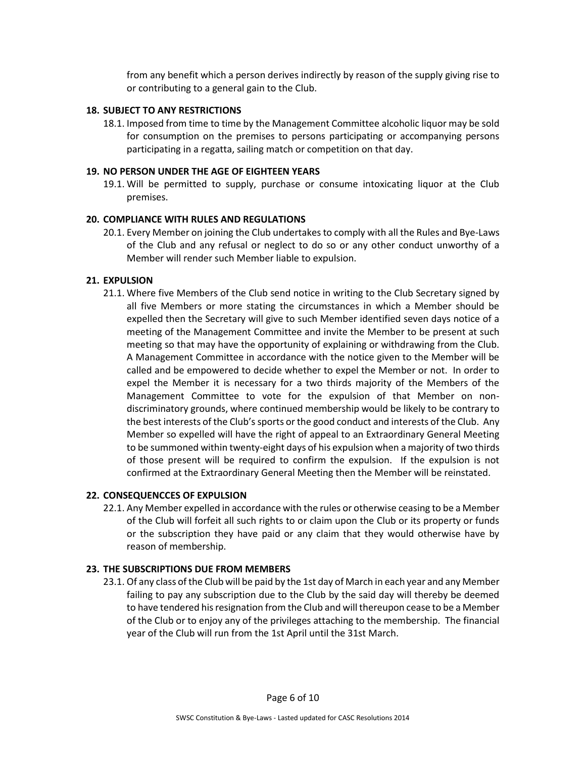from any benefit which a person derives indirectly by reason of the supply giving rise to or contributing to a general gain to the Club.

#### **18. SUBJECT TO ANY RESTRICTIONS**

18.1. Imposed from time to time by the Management Committee alcoholic liquor may be sold for consumption on the premises to persons participating or accompanying persons participating in a regatta, sailing match or competition on that day.

#### **19. NO PERSON UNDER THE AGE OF EIGHTEEN YEARS**

19.1. Will be permitted to supply, purchase or consume intoxicating liquor at the Club premises.

#### **20. COMPLIANCE WITH RULES AND REGULATIONS**

20.1. Every Member on joining the Club undertakes to comply with all the Rules and Bye-Laws of the Club and any refusal or neglect to do so or any other conduct unworthy of a Member will render such Member liable to expulsion.

#### **21. EXPULSION**

21.1. Where five Members of the Club send notice in writing to the Club Secretary signed by all five Members or more stating the circumstances in which a Member should be expelled then the Secretary will give to such Member identified seven days notice of a meeting of the Management Committee and invite the Member to be present at such meeting so that may have the opportunity of explaining or withdrawing from the Club. A Management Committee in accordance with the notice given to the Member will be called and be empowered to decide whether to expel the Member or not. In order to expel the Member it is necessary for a two thirds majority of the Members of the Management Committee to vote for the expulsion of that Member on nondiscriminatory grounds, where continued membership would be likely to be contrary to the best interests of the Club's sports or the good conduct and interests of the Club. Any Member so expelled will have the right of appeal to an Extraordinary General Meeting to be summoned within twenty-eight days of his expulsion when a majority of two thirds of those present will be required to confirm the expulsion. If the expulsion is not confirmed at the Extraordinary General Meeting then the Member will be reinstated.

#### **22. CONSEQUENCCES OF EXPULSION**

22.1. Any Member expelled in accordance with the rules or otherwise ceasing to be a Member of the Club will forfeit all such rights to or claim upon the Club or its property or funds or the subscription they have paid or any claim that they would otherwise have by reason of membership.

#### **23. THE SUBSCRIPTIONS DUE FROM MEMBERS**

23.1. Of any class of the Club will be paid by the 1st day of March in each year and any Member failing to pay any subscription due to the Club by the said day will thereby be deemed to have tendered his resignation from the Club and will thereupon cease to be a Member of the Club or to enjoy any of the privileges attaching to the membership. The financial year of the Club will run from the 1st April until the 31st March.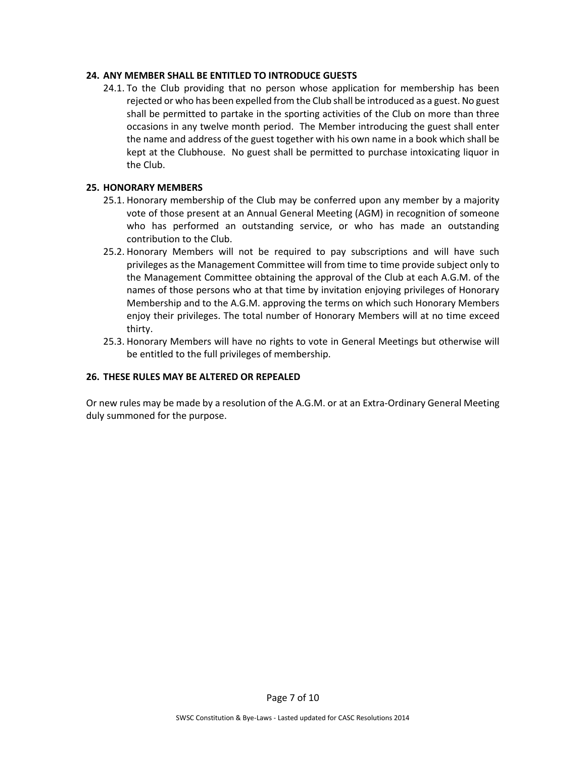## **24. ANY MEMBER SHALL BE ENTITLED TO INTRODUCE GUESTS**

24.1. To the Club providing that no person whose application for membership has been rejected or who has been expelled from the Club shall be introduced as a guest. No guest shall be permitted to partake in the sporting activities of the Club on more than three occasions in any twelve month period. The Member introducing the guest shall enter the name and address of the guest together with his own name in a book which shall be kept at the Clubhouse. No guest shall be permitted to purchase intoxicating liquor in the Club.

#### **25. HONORARY MEMBERS**

- 25.1. Honorary membership of the Club may be conferred upon any member by a majority vote of those present at an Annual General Meeting (AGM) in recognition of someone who has performed an outstanding service, or who has made an outstanding contribution to the Club.
- 25.2. Honorary Members will not be required to pay subscriptions and will have such privileges as the Management Committee will from time to time provide subject only to the Management Committee obtaining the approval of the Club at each A.G.M. of the names of those persons who at that time by invitation enjoying privileges of Honorary Membership and to the A.G.M. approving the terms on which such Honorary Members enjoy their privileges. The total number of Honorary Members will at no time exceed thirty.
- 25.3. Honorary Members will have no rights to vote in General Meetings but otherwise will be entitled to the full privileges of membership.

#### **26. THESE RULES MAY BE ALTERED OR REPEALED**

Or new rules may be made by a resolution of the A.G.M. or at an Extra-Ordinary General Meeting duly summoned for the purpose.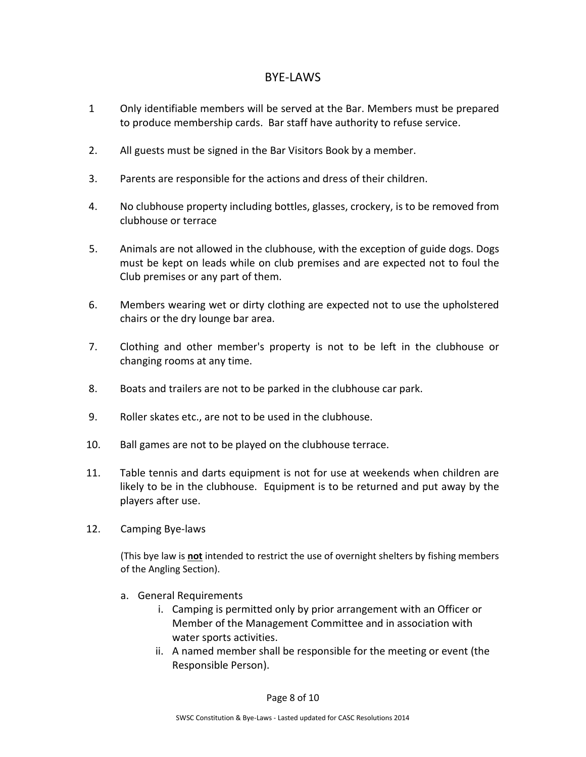# BYE-LAWS

- 1 Only identifiable members will be served at the Bar. Members must be prepared to produce membership cards. Bar staff have authority to refuse service.
- 2. All guests must be signed in the Bar Visitors Book by a member.
- 3. Parents are responsible for the actions and dress of their children.
- 4. No clubhouse property including bottles, glasses, crockery, is to be removed from clubhouse or terrace
- 5. Animals are not allowed in the clubhouse, with the exception of guide dogs. Dogs must be kept on leads while on club premises and are expected not to foul the Club premises or any part of them.
- 6. Members wearing wet or dirty clothing are expected not to use the upholstered chairs or the dry lounge bar area.
- 7. Clothing and other member's property is not to be left in the clubhouse or changing rooms at any time.
- 8. Boats and trailers are not to be parked in the clubhouse car park.
- 9. Roller skates etc., are not to be used in the clubhouse.
- 10. Ball games are not to be played on the clubhouse terrace.
- 11. Table tennis and darts equipment is not for use at weekends when children are likely to be in the clubhouse. Equipment is to be returned and put away by the players after use.
- 12. Camping Bye-laws

(This bye law is **not** intended to restrict the use of overnight shelters by fishing members of the Angling Section).

- a. General Requirements
	- i. Camping is permitted only by prior arrangement with an Officer or Member of the Management Committee and in association with water sports activities.
	- ii. A named member shall be responsible for the meeting or event (the Responsible Person).

Page 8 of 10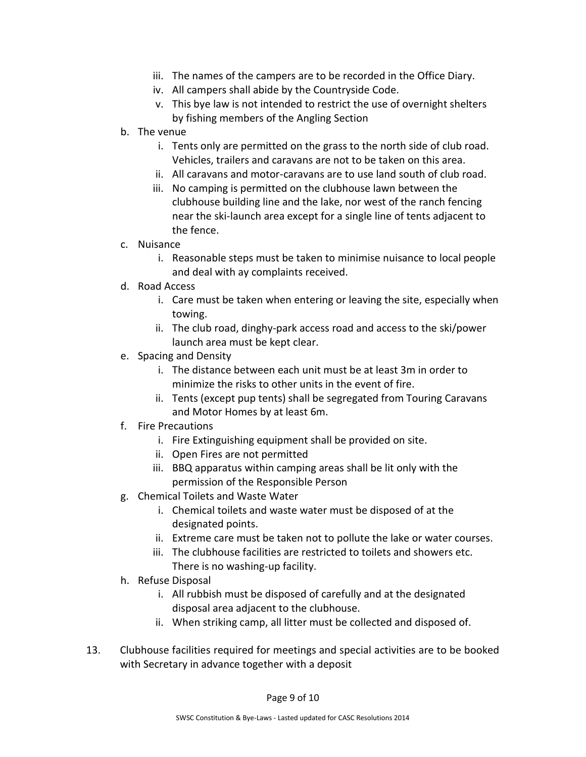- iii. The names of the campers are to be recorded in the Office Diary.
- iv. All campers shall abide by the Countryside Code.
- v. This bye law is not intended to restrict the use of overnight shelters by fishing members of the Angling Section
- b. The venue
	- i. Tents only are permitted on the grass to the north side of club road. Vehicles, trailers and caravans are not to be taken on this area.
	- ii. All caravans and motor-caravans are to use land south of club road.
	- iii. No camping is permitted on the clubhouse lawn between the clubhouse building line and the lake, nor west of the ranch fencing near the ski-launch area except for a single line of tents adjacent to the fence.
- c. Nuisance
	- i. Reasonable steps must be taken to minimise nuisance to local people and deal with ay complaints received.
- d. Road Access
	- i. Care must be taken when entering or leaving the site, especially when towing.
	- ii. The club road, dinghy-park access road and access to the ski/power launch area must be kept clear.
- e. Spacing and Density
	- i. The distance between each unit must be at least 3m in order to minimize the risks to other units in the event of fire.
	- ii. Tents (except pup tents) shall be segregated from Touring Caravans and Motor Homes by at least 6m.
- f. Fire Precautions
	- i. Fire Extinguishing equipment shall be provided on site.
	- ii. Open Fires are not permitted
	- iii. BBQ apparatus within camping areas shall be lit only with the permission of the Responsible Person
- g. Chemical Toilets and Waste Water
	- i. Chemical toilets and waste water must be disposed of at the designated points.
	- ii. Extreme care must be taken not to pollute the lake or water courses.
	- iii. The clubhouse facilities are restricted to toilets and showers etc. There is no washing-up facility.
- h. Refuse Disposal
	- i. All rubbish must be disposed of carefully and at the designated disposal area adjacent to the clubhouse.
	- ii. When striking camp, all litter must be collected and disposed of.
- 13. Clubhouse facilities required for meetings and special activities are to be booked with Secretary in advance together with a deposit

Page 9 of 10